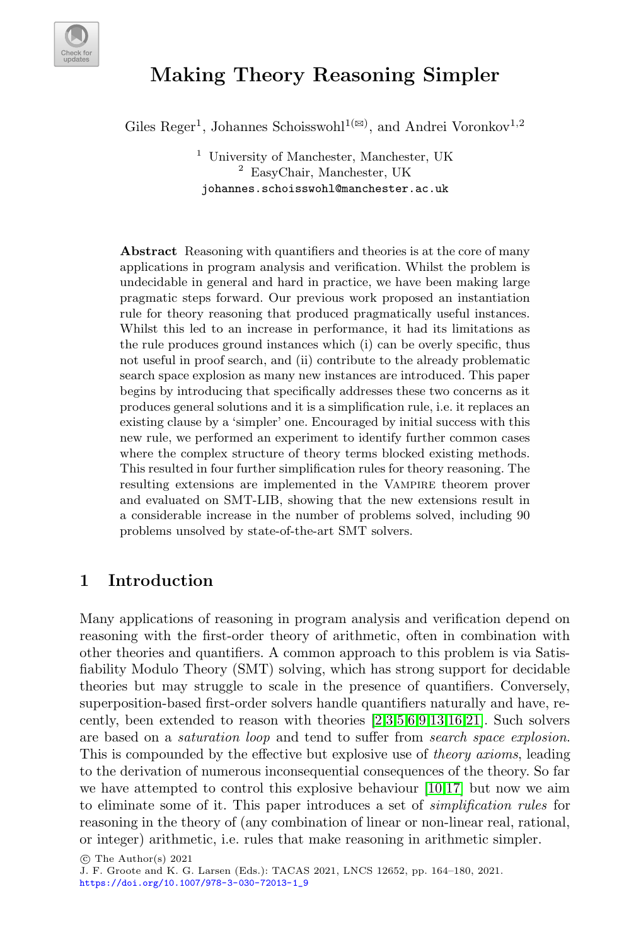

# Making Theory Reasoning Simpler

Giles Reger<sup>1</sup>, Johannes Schoisswohl<sup>1( $\boxtimes$ )</sup>, and Andrei Voronkov<sup>1,2</sup>

<sup>1</sup> University of Manchester, Manchester, UK <sup>2</sup> EasyChair, Manchester, UK johannes.schoisswohl@manchester.ac.uk

Abstract Reasoning with quantifiers and theories is at the core of many applications in program analysis and verification. Whilst the problem is undecidable in general and hard in practice, we have been making large pragmatic steps forward. Our previous work proposed an instantiation rule for theory reasoning that produced pragmatically useful instances. Whilst this led to an increase in performance, it had its limitations as the rule produces ground instances which (i) can be overly specific, thus not useful in proof search, and (ii) contribute to the already problematic search space explosion as many new instances are introduced. This paper begins by introducing that specifically addresses these two concerns as it produces general solutions and it is a simplification rule, i.e. it replaces an existing clause by a 'simpler' one. Encouraged by initial success with this new rule, we performed an experiment to identify further common cases where the complex structure of theory terms blocked existing methods. This resulted in four further simplification rules for theory reasoning. The resulting extensions are implemented in the VAMPIRE theorem prover and evaluated on SMT-LIB, showing that the new extensions result in a considerable increase in the number of problems solved, including 90 problems unsolved by state-of-the-art SMT solvers.

#### <span id="page-0-0"></span>1 Introduction

Many applications of reasoning in program analysis and verification depend on reasoning with the first-order theory of arithmetic, often in combination with other theories and quantifiers. A common approach to this problem is via Satisfiability Modulo Theory (SMT) solving, which has strong support for decidable theories but may struggle to scale in the presence of quantifiers. Conversely, superposition-based first-order solvers handle quantifiers naturally and have, recently, been extended to reason with theories [\[2](#page-14-0)[,3,](#page-14-1)[5,](#page-14-2)[6,](#page-14-3)[9](#page-14-4)[,13,](#page-15-0)[16,](#page-15-1)[21\]](#page-15-2). Such solvers are based on a saturation loop and tend to suffer from search space explosion. This is compounded by the effective but explosive use of *theory axioms*, leading to the derivation of numerous inconsequential consequences of the theory. So far we have attempted to control this explosive behaviour [\[10,](#page-15-3)[17\]](#page-15-4) but now we aim to eliminate some of it. This paper introduces a set of simplification rules for reasoning in the theory of (any combination of linear or non-linear real, rational, or integer) arithmetic, i.e. rules that make reasoning in arithmetic simpler.

 $\circ$  The Author(s) 2021

J. F. Groote and K. G. Larsen (Eds.): TACAS 2021, LNCS 12652, pp. 164–180, 2021. [https://doi.org/10.1007/978-3-030-72013-1\\_9](https://doi.org/10.1007/978-3-030-72013-1_9)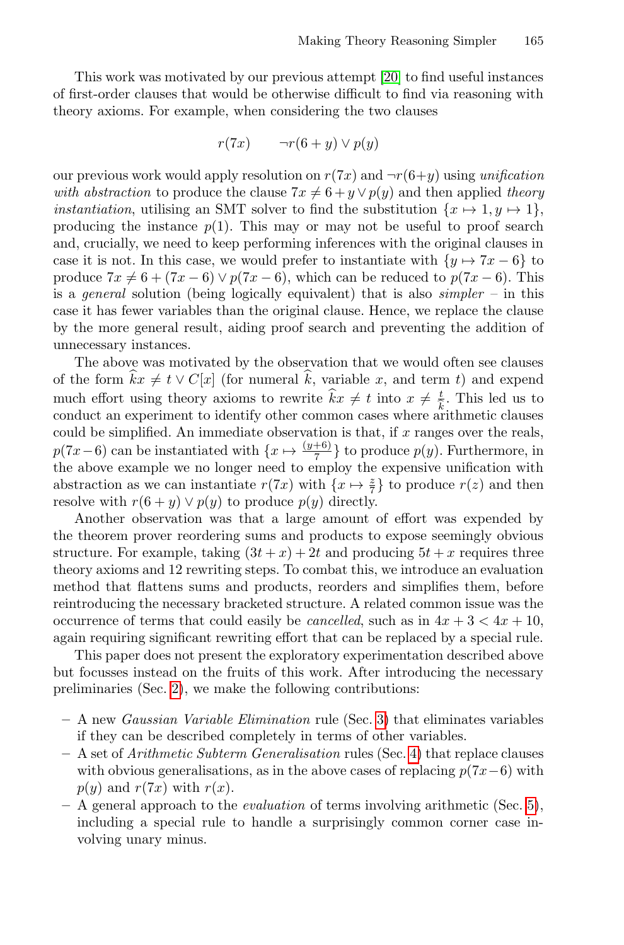This work was motivated by our previous attempt [\[20\]](#page-15-5) to find useful instances of first-order clauses that would be otherwise difficult to find via reasoning with theory axioms. For example, when considering the two clauses

$$
r(7x) \qquad \neg r(6+y) \lor p(y)
$$

our previous work would apply resolution on  $r(7x)$  and  $\neg r(6+y)$  using unification with abstraction to produce the clause  $7x \neq 6 + y \vee p(y)$  and then applied theory *instantiation*, utilising an SMT solver to find the substitution  $\{x \mapsto 1, y \mapsto 1\}$ , producing the instance  $p(1)$ . This may or may not be useful to proof search and, crucially, we need to keep performing inferences with the original clauses in case it is not. In this case, we would prefer to instantiate with  $\{y \mapsto 7x - 6\}$  to produce  $7x \neq 6 + (7x - 6) \vee p(7x - 6)$ , which can be reduced to  $p(7x - 6)$ . This is a *general* solution (being logically equivalent) that is also *simpler* – in this case it has fewer variables than the original clause. Hence, we replace the clause by the more general result, aiding proof search and preventing the addition of unnecessary instances.

The above was motivated by the observation that we would often see clauses of the form  $\hat{k}x \neq t \vee C[x]$  (for numeral  $\hat{k}$ , variable x, and term t) and expend much effort using theory axioms to rewrite  $\hat{k}x \neq t$  into  $x \neq \frac{t}{\hat{k}}$ . This led us to conduct an experiment to identify other common cases where arithmetic clauses could be simplified. An immediate observation is that, if  $x$  ranges over the reals,  $p(7x-6)$  can be instantiated with  $\{x \mapsto \frac{(y+6)}{7}\}$  to produce  $p(y)$ . Furthermore, in the above example we no longer need to employ the expensive unification with abstraction as we can instantiate  $r(7x)$  with  $\{x \mapsto \frac{z}{7}\}\)$  to produce  $r(z)$  and then resolve with  $r(6 + y) \vee p(y)$  to produce  $p(y)$  directly.

Another observation was that a large amount of effort was expended by the theorem prover reordering sums and products to expose seemingly obvious structure. For example, taking  $(3t + x) + 2t$  and producing  $5t + x$  requires three theory axioms and 12 rewriting steps. To combat this, we introduce an evaluation method that flattens sums and products, reorders and simplifies them, before reintroducing the necessary bracketed structure. A related common issue was the occurrence of terms that could easily be *cancelled*, such as in  $4x + 3 < 4x + 10$ , again requiring significant rewriting effort that can be replaced by a special rule.

This paper does not present the exploratory experimentation described above but focusses instead on the fruits of this work. After introducing the necessary preliminaries (Sec. [2\)](#page-2-0), we make the following contributions:

- A new Gaussian Variable Elimination rule (Sec. [3\)](#page-5-0) that eliminates variables if they can be described completely in terms of other variables.
- $A$  set of *Arithmetic Subterm Generalisation* rules (Sec. [4\)](#page-6-0) that replace clauses with obvious generalisations, as in the above cases of replacing  $p(7x-6)$  with  $p(y)$  and  $r(7x)$  with  $r(x)$ .
- $-$  A general approach to the *evaluation* of terms involving arithmetic (Sec. [5\)](#page-8-0), including a special rule to handle a surprisingly common corner case involving unary minus.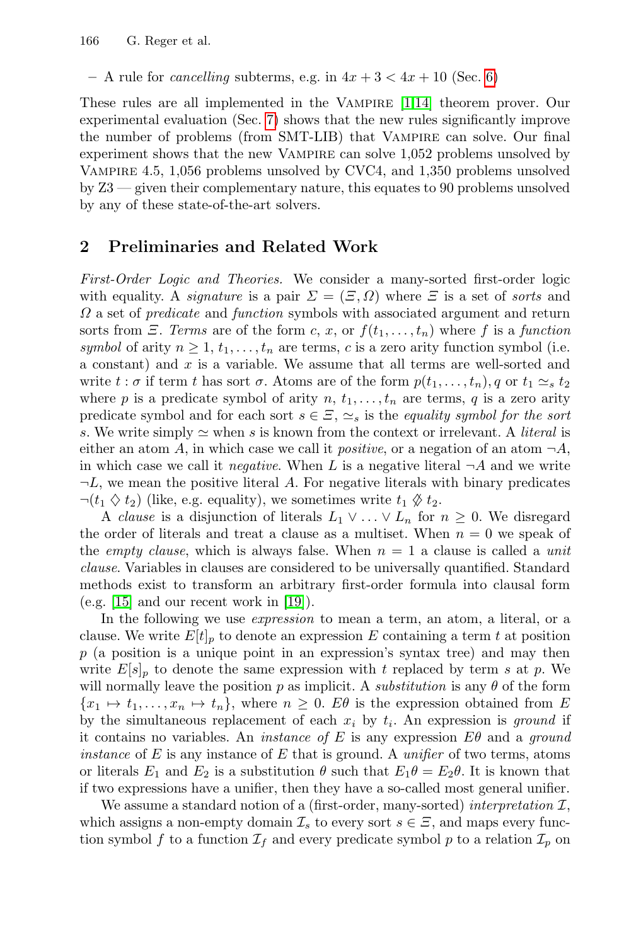– A rule for *cancelling* subterms, e.g. in  $4x + 3 < 4x + 10$  (Sec. [6\)](#page-10-0)

These rules are all implemented in the Vampire [\[1,](#page-14-5)[14\]](#page-15-6) theorem prover. Our experimental evaluation (Sec. [7\)](#page-11-0) shows that the new rules significantly improve the number of problems (from SMT-LIB) that Vampire can solve. Our final experiment shows that the new VAMPIRE can solve  $1,052$  problems unsolved by Vampire 4.5, 1,056 problems unsolved by CVC4, and 1,350 problems unsolved by Z3 — given their complementary nature, this equates to 90 problems unsolved by any of these state-of-the-art solvers.

## <span id="page-2-0"></span>2 Preliminaries and Related Work

First-Order Logic and Theories. We consider a many-sorted first-order logic with equality. A *signature* is a pair  $\Sigma = (\Xi, \Omega)$  where  $\Xi$  is a set of *sorts* and  $\Omega$  a set of *predicate* and *function* symbols with associated argument and return sorts from  $\Xi$ . Terms are of the form c, x, or  $f(t_1, \ldots, t_n)$  where f is a function symbol of arity  $n \geq 1, t_1, \ldots, t_n$  are terms, c is a zero arity function symbol (i.e. a constant) and x is a variable. We assume that all terms are well-sorted and write  $t : \sigma$  if term t has sort  $\sigma$ . Atoms are of the form  $p(t_1, \ldots, t_n)$ , q or  $t_1 \simeq_s t_2$ where p is a predicate symbol of arity  $n, t_1, \ldots, t_n$  are terms, q is a zero arity predicate symbol and for each sort  $s \in \Xi$ ,  $\simeq_s$  is the equality symbol for the sort s. We write simply  $\simeq$  when s is known from the context or irrelevant. A *literal* is either an atom A, in which case we call it *positive*, or a negation of an atom  $\neg A$ , in which case we call it *negative*. When L is a negative literal  $\neg A$  and we write  $\neg L$ , we mean the positive literal A. For negative literals with binary predicates  $\neg(t_1 \diamondsuit t_2)$  (like, e.g. equality), we sometimes write  $t_1 \diamondsuit t_2$ .

A clause is a disjunction of literals  $L_1 \vee \ldots \vee L_n$  for  $n \geq 0$ . We disregard the order of literals and treat a clause as a multiset. When  $n = 0$  we speak of the *empty clause*, which is always false. When  $n = 1$  a clause is called a *unit* clause. Variables in clauses are considered to be universally quantified. Standard methods exist to transform an arbitrary first-order formula into clausal form  $(e.g. [15]$  $(e.g. [15]$  and our recent work in  $[19]$ ).

In the following we use expression to mean a term, an atom, a literal, or a clause. We write  $E[t]_p$  to denote an expression E containing a term t at position  $p$  (a position is a unique point in an expression's syntax tree) and may then write  $E[s]_p$  to denote the same expression with t replaced by term s at p. We will normally leave the position p as implicit. A *substitution* is any  $\theta$  of the form  ${x_1 \mapsto t_1, \ldots, x_n \mapsto t_n},$  where  $n \geq 0$ .  $E\theta$  is the expression obtained from E by the simultaneous replacement of each  $x_i$  by  $t_i$ . An expression is ground if it contains no variables. An *instance of* E is any expression  $E\theta$  and a *ground instance* of  $E$  is any instance of  $E$  that is ground. A *unifier* of two terms, atoms or literals  $E_1$  and  $E_2$  is a substitution  $\theta$  such that  $E_1\theta = E_2\theta$ . It is known that if two expressions have a unifier, then they have a so-called most general unifier.

We assume a standard notion of a (first-order, many-sorted) interpretation  $\mathcal{I}$ , which assigns a non-empty domain  $\mathcal{I}_s$  to every sort  $s \in \Xi$ , and maps every function symbol f to a function  $\mathcal{I}_f$  and every predicate symbol p to a relation  $\mathcal{I}_p$  on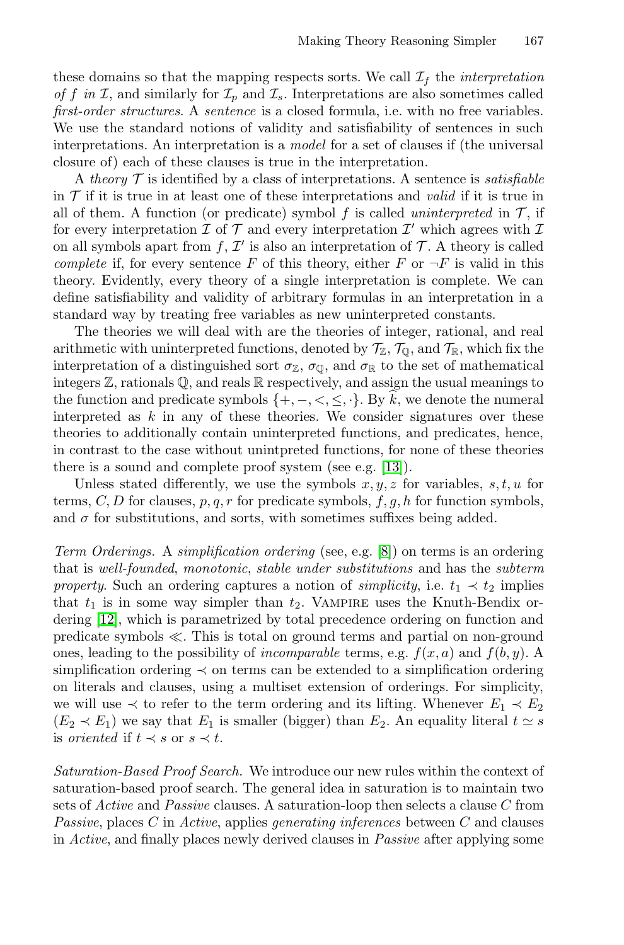these domains so that the mapping respects sorts. We call  $\mathcal{I}_f$  the *interpretation* of f in I, and similarly for  $\mathcal{I}_p$  and  $\mathcal{I}_s$ . Interpretations are also sometimes called first-order structures. A sentence is a closed formula, i.e. with no free variables. We use the standard notions of validity and satisfiability of sentences in such interpretations. An interpretation is a model for a set of clauses if (the universal closure of) each of these clauses is true in the interpretation.

A theory  $\mathcal T$  is identified by a class of interpretations. A sentence is *satisfiable* in  $\mathcal T$  if it is true in at least one of these interpretations and valid if it is true in all of them. A function (or predicate) symbol f is called uninterpreted in  $\mathcal{T}$ , if for every interpretation  $\mathcal I$  of  $\mathcal T$  and every interpretation  $\mathcal I'$  which agrees with  $\mathcal I$ on all symbols apart from  $f, \mathcal{I}'$  is also an interpretation of  $\mathcal{T}$ . A theory is called complete if, for every sentence F of this theory, either F or  $\neg F$  is valid in this theory. Evidently, every theory of a single interpretation is complete. We can define satisfiability and validity of arbitrary formulas in an interpretation in a standard way by treating free variables as new uninterpreted constants.

The theories we will deal with are the theories of integer, rational, and real arithmetic with uninterpreted functions, denoted by  $\mathcal{T}_{\mathbb{Z}}$ ,  $\mathcal{T}_{\mathbb{Q}}$ , and  $\mathcal{T}_{\mathbb{R}}$ , which fix the interpretation of a distinguished sort  $\sigma_{\mathbb{Z}}$ ,  $\sigma_{\mathbb{Q}}$ , and  $\sigma_{\mathbb{R}}$  to the set of mathematical integers Z, rationals Q, and reals R respectively, and assign the usual meanings to the function and predicate symbols  $\{+, -, <, \leq, \cdot\}$ . By k, we denote the numeral interpreted as  $k$  in any of these theories. We consider signatures over these theories to additionally contain uninterpreted functions, and predicates, hence, in contrast to the case without unintpreted functions, for none of these theories there is a sound and complete proof system (see e.g. [\[13\]](#page-15-0)).

Unless stated differently, we use the symbols  $x, y, z$  for variables,  $s, t, u$  for terms, C, D for clauses,  $p, q, r$  for predicate symbols,  $f, g, h$  for function symbols, and  $\sigma$  for substitutions, and sorts, with sometimes suffixes being added.

Term Orderings. A simplification ordering (see, e.g. [\[8\]](#page-14-6)) on terms is an ordering that is well-founded, monotonic, stable under substitutions and has the subterm property. Such an ordering captures a notion of *simplicity*, i.e.  $t_1 \prec t_2$  implies that  $t_1$  is in some way simpler than  $t_2$ . VAMPIRE uses the Knuth-Bendix ordering [\[12\]](#page-15-9), which is parametrized by total precedence ordering on function and predicate symbols  $\ll$ . This is total on ground terms and partial on non-ground ones, leading to the possibility of *incomparable* terms, e.g.  $f(x, a)$  and  $f(b, y)$ . A simplification ordering ≺ on terms can be extended to a simplification ordering on literals and clauses, using a multiset extension of orderings. For simplicity, we will use  $\prec$  to refer to the term ordering and its lifting. Whenever  $E_1 \prec E_2$  $(E_2 \prec E_1)$  we say that  $E_1$  is smaller (bigger) than  $E_2$ . An equality literal  $t \simeq s$ is *oriented* if  $t \prec s$  or  $s \prec t$ .

Saturation-Based Proof Search. We introduce our new rules within the context of saturation-based proof search. The general idea in saturation is to maintain two sets of  $Active$  and  $Passive$  clauses. A saturation-loop then selects a clause  $C$  from Passive, places  $C$  in Active, applies generating inferences between  $C$  and clauses in Active, and finally places newly derived clauses in Passive after applying some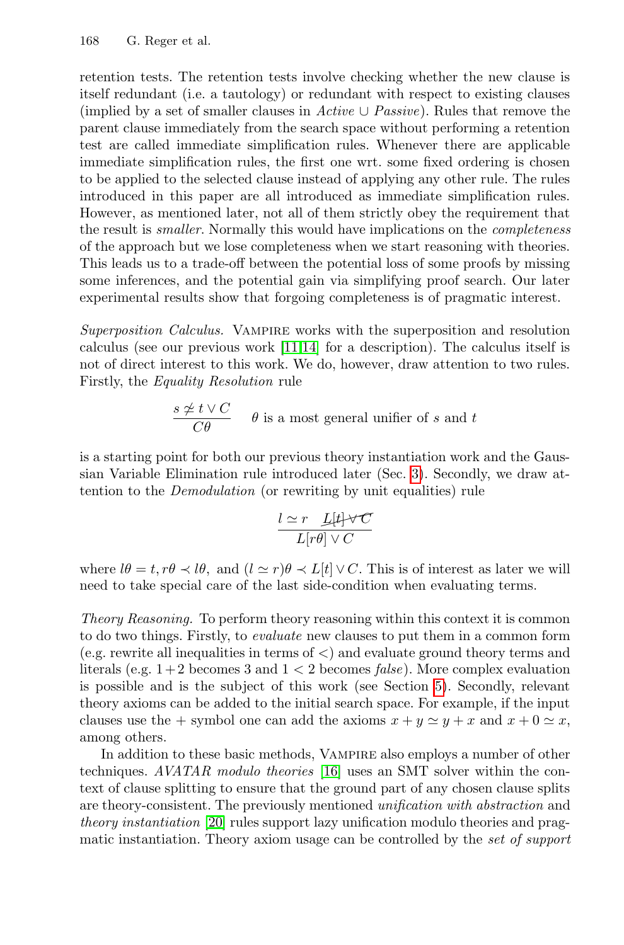retention tests. The retention tests involve checking whether the new clause is itself redundant (i.e. a tautology) or redundant with respect to existing clauses (implied by a set of smaller clauses in Active  $\cup$  Passive). Rules that remove the parent clause immediately from the search space without performing a retention test are called immediate simplification rules. Whenever there are applicable immediate simplification rules, the first one wrt. some fixed ordering is chosen to be applied to the selected clause instead of applying any other rule. The rules introduced in this paper are all introduced as immediate simplification rules. However, as mentioned later, not all of them strictly obey the requirement that the result is smaller. Normally this would have implications on the completeness of the approach but we lose completeness when we start reasoning with theories. This leads us to a trade-off between the potential loss of some proofs by missing some inferences, and the potential gain via simplifying proof search. Our later experimental results show that forgoing completeness is of pragmatic interest.

Superposition Calculus. Vampire works with the superposition and resolution calculus (see our previous work [\[11,](#page-15-10)[14\]](#page-15-6) for a description). The calculus itself is not of direct interest to this work. We do, however, draw attention to two rules. Firstly, the Equality Resolution rule

$$
\frac{s \neq t \vee C}{C\theta} \qquad \theta \text{ is a most general unifier of } s \text{ and } t
$$

is a starting point for both our previous theory instantiation work and the Gaussian Variable Elimination rule introduced later (Sec. [3\)](#page-5-0). Secondly, we draw attention to the Demodulation (or rewriting by unit equalities) rule

$$
\frac{l \simeq r \quad \text{L}[t] \cdot \text{V}C}{L[r\theta] \cdot \text{V}C}
$$

where  $l\theta = t, r\theta \prec l\theta$ , and  $(l \simeq r)\theta \prec L[t] \vee C$ . This is of interest as later we will need to take special care of the last side-condition when evaluating terms.

Theory Reasoning. To perform theory reasoning within this context it is common to do two things. Firstly, to evaluate new clauses to put them in a common form (e.g. rewrite all inequalities in terms of <) and evaluate ground theory terms and literals (e.g.  $1+2$  becomes 3 and  $1 < 2$  becomes *false*). More complex evaluation is possible and is the subject of this work (see Section [5\)](#page-8-0). Secondly, relevant theory axioms can be added to the initial search space. For example, if the input clauses use the + symbol one can add the axioms  $x + y \approx y + x$  and  $x + 0 \approx x$ , among others.

In addition to these basic methods, VAMPIRE also employs a number of other techniques. AVATAR modulo theories [\[16\]](#page-15-1) uses an SMT solver within the context of clause splitting to ensure that the ground part of any chosen clause splits are theory-consistent. The previously mentioned unification with abstraction and theory instantiation [\[20\]](#page-15-5) rules support lazy unification modulo theories and pragmatic instantiation. Theory axiom usage can be controlled by the set of support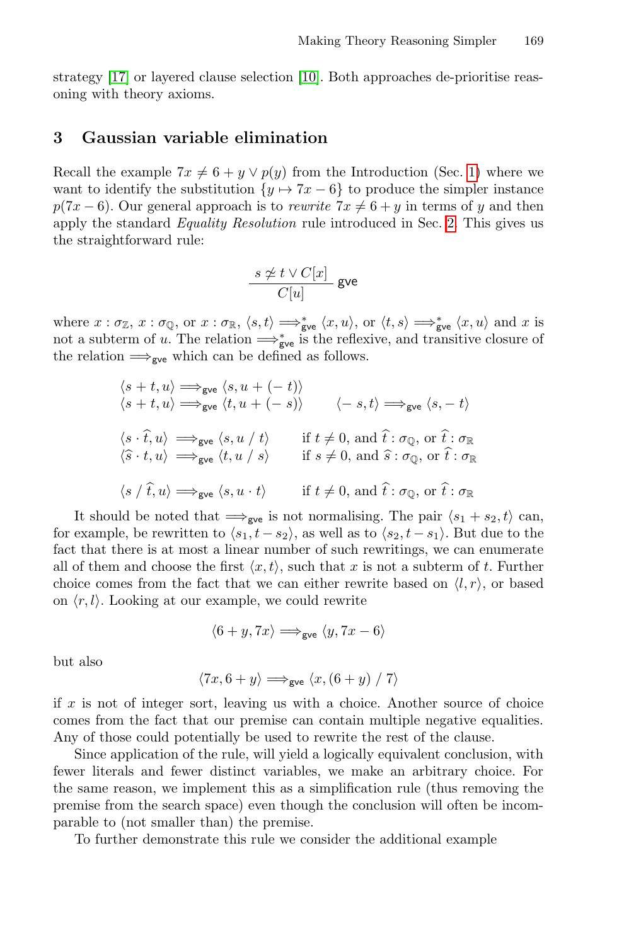strategy [\[17\]](#page-15-4) or layered clause selection [\[10\]](#page-15-3). Both approaches de-prioritise reasoning with theory axioms.

#### <span id="page-5-0"></span>3 Gaussian variable elimination

Recall the example  $7x \neq 6 + y \vee p(y)$  from the Introduction (Sec. [1\)](#page-0-0) where we want to identify the substitution  $\{y \mapsto 7x - 6\}$  to produce the simpler instance  $p(7x-6)$ . Our general approach is to *rewrite*  $7x \neq 6 + y$  in terms of y and then apply the standard Equality Resolution rule introduced in Sec. [2.](#page-2-0) This gives us the straightforward rule:

$$
\frac{s \not\simeq t \vee C[x]}{C[u]} \text{ give }
$$

where  $x : \sigma_{\mathbb{Z}}$ ,  $x : \sigma_{\mathbb{Q}}$ , or  $x : \sigma_{\mathbb{R}}$ ,  $\langle s, t \rangle \Longrightarrow_{\mathsf{gve}}^* \langle x, u \rangle$ , or  $\langle t, s \rangle \Longrightarrow_{\mathsf{gve}}^* \langle x, u \rangle$  and x is not a subterm of u. The relation  $\Longrightarrow_{\text{gve}}^*$  is the reflexive, and transitive closure of the relation  $\Longrightarrow_{\mathsf{gve}}$  which can be defined as follows.

$$
\langle s+t, u \rangle \Longrightarrow_{\mathsf{gve}} \langle s, u+(-t) \rangle
$$
  
\n
$$
\langle s+t, u \rangle \Longrightarrow_{\mathsf{gve}} \langle t, u+(-s) \rangle \qquad \langle -s, t \rangle \Longrightarrow_{\mathsf{gve}} \langle s, -t \rangle
$$
  
\n
$$
\langle s \cdot \hat{t}, u \rangle \Longrightarrow_{\mathsf{gve}} \langle s, u \rangle t \rangle \qquad \text{if } t \neq 0, \text{ and } \hat{t} : \sigma_{\mathbb{Q}}, \text{ or } \hat{t} : \sigma_{\mathbb{R}}
$$
  
\n
$$
\langle \hat{s} \cdot t, u \rangle \Longrightarrow_{\mathsf{gve}} \langle t, u \rangle s \rangle \qquad \text{if } s \neq 0, \text{ and } \hat{s} : \sigma_{\mathbb{Q}}, \text{ or } \hat{t} : \sigma_{\mathbb{R}}
$$
  
\n
$$
\langle s \rangle \langle \hat{t}, u \rangle \Longrightarrow_{\mathsf{gve}} \langle s, u \cdot t \rangle \qquad \text{if } t \neq 0, \text{ and } \hat{t} : \sigma_{\mathbb{Q}}, \text{ or } \hat{t} : \sigma_{\mathbb{R}}
$$

It should be noted that  $\Longrightarrow_{\mathsf{gve}}$  is not normalising. The pair  $\langle s_1 + s_2, t \rangle$  can, for example, be rewritten to  $\langle s_1, t - s_2 \rangle$ , as well as to  $\langle s_2, t - s_1 \rangle$ . But due to the fact that there is at most a linear number of such rewritings, we can enumerate all of them and choose the first  $\langle x, t \rangle$ , such that x is not a subterm of t. Further choice comes from the fact that we can either rewrite based on  $\langle l, r \rangle$ , or based on  $\langle r, l \rangle$ . Looking at our example, we could rewrite

$$
\langle 6+y,7x\rangle \Longrightarrow_{\text{gve}} \langle y,7x-6\rangle
$$

but also

$$
\langle 7x, 6+y \rangle \Longrightarrow_{\text{gve}} \langle x, (6+y) / 7 \rangle
$$

if  $x$  is not of integer sort, leaving us with a choice. Another source of choice comes from the fact that our premise can contain multiple negative equalities. Any of those could potentially be used to rewrite the rest of the clause.

Since application of the rule, will yield a logically equivalent conclusion, with fewer literals and fewer distinct variables, we make an arbitrary choice. For the same reason, we implement this as a simplification rule (thus removing the premise from the search space) even though the conclusion will often be incomparable to (not smaller than) the premise.

To further demonstrate this rule we consider the additional example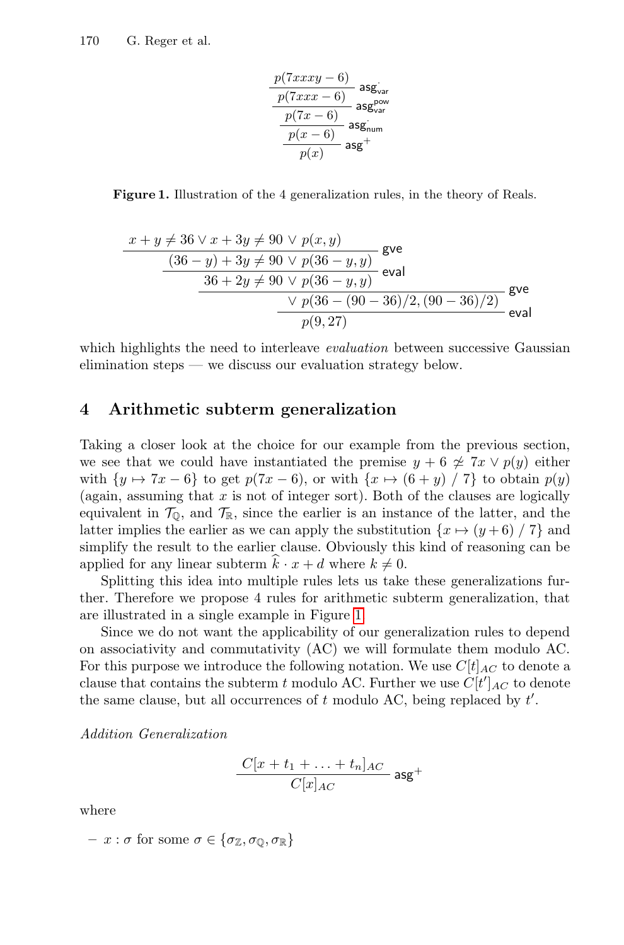$$
\frac{p(7xxx - 6)}{p(7xxx - 6)} \n\begin{array}{c}\n\text{as} \text{g}_{\text{var}} \\
\hline\n\frac{p(7xxx - 6)}{p(7x - 6)} \\
\hline\n\frac{p(x - 6)}{p(x)} \\
\hline\n\text{as} \text{g}_{\text{num}} + \\
\hline\n\end{array}
$$

<span id="page-6-1"></span>Figure 1. Illustration of the 4 generalization rules, in the theory of Reals.

$$
\frac{x+y \neq 36 \lor x + 3y \neq 90 \lor p(x, y)}{(36 - y) + 3y \neq 90 \lor p(36 - y, y)}
$$
gve  
\n
$$
\frac{36 + 2y \neq 90 \lor p(36 - y, y)}{36 + 2y \neq 90 \lor p(36 - y, y)}
$$
eval  
\n
$$
\frac{\lor p(36 - (90 - 36)/2, (90 - 36)/2)}{p(9, 27)}
$$
gve  
\neval

which highlights the need to interleave *evaluation* between successive Gaussian elimination steps — we discuss our evaluation strategy below.

#### <span id="page-6-0"></span>4 Arithmetic subterm generalization

Taking a closer look at the choice for our example from the previous section, we see that we could have instantiated the premise  $y + 6 \not\approx 7x \vee p(y)$  either with  $\{y \mapsto 7x - 6\}$  to get  $p(7x - 6)$ , or with  $\{x \mapsto (6 + y) / 7\}$  to obtain  $p(y)$ (again, assuming that  $x$  is not of integer sort). Both of the clauses are logically equivalent in  $\mathcal{T}_0$ , and  $\mathcal{T}_\mathbb{R}$ , since the earlier is an instance of the latter, and the latter implies the earlier as we can apply the substitution  $\{x \mapsto (y+6) / 7\}$  and simplify the result to the earlier clause. Obviously this kind of reasoning can be applied for any linear subterm  $k \cdot x + d$  where  $k \neq 0$ .

Splitting this idea into multiple rules lets us take these generalizations further. Therefore we propose 4 rules for arithmetic subterm generalization, that are illustrated in a single example in Figure [1.](#page-6-1)

Since we do not want the applicability of our generalization rules to depend on associativity and commutativity (AC) we will formulate them modulo AC. For this purpose we introduce the following notation. We use  $C[t]_{AC}$  to denote a clause that contains the subterm t modulo AC. Further we use  $C[t']_{AC}$  to denote the same clause, but all occurrences of  $t$  modulo AC, being replaced by  $t'$ .

Addition Generalization

$$
\frac{C[x+t_1+\ldots+t_n]_{AC}}{C[x]_{AC}}
$$
asg<sup>+</sup>

where

$$
- x : \sigma \text{ for some } \sigma \in \{\sigma_{\mathbb{Z}}, \sigma_{\mathbb{Q}}, \sigma_{\mathbb{R}}\}\
$$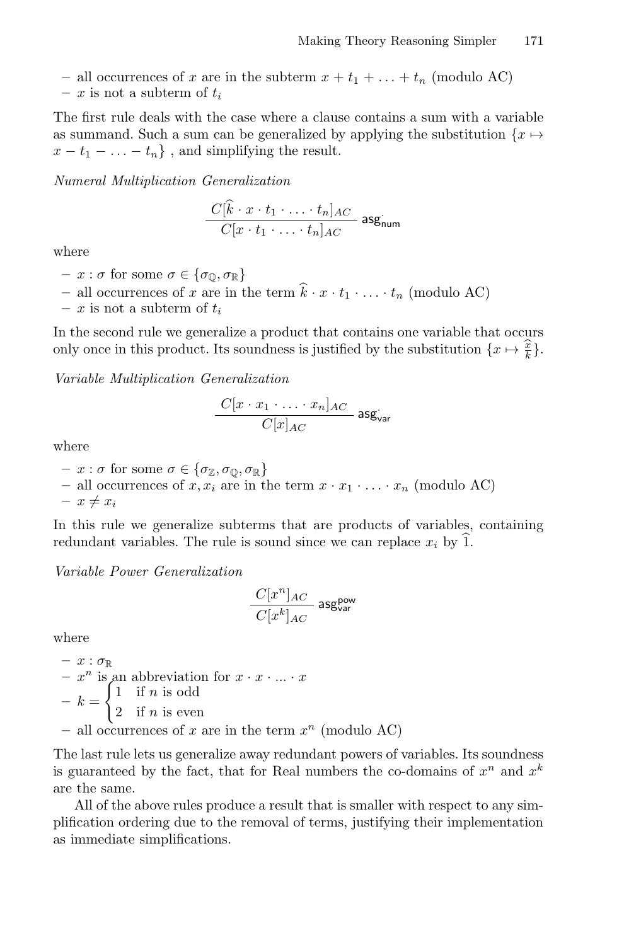- all occurrences of x are in the subterm  $x + t_1 + \ldots + t_n$  (modulo AC)
- x is not a subterm of  $t_i$

The first rule deals with the case where a clause contains a sum with a variable as summand. Such a sum can be generalized by applying the substitution  $\{x \mapsto$  $x - t_1 - \ldots - t_n$ , and simplifying the result.

Numeral Multiplication Generalization

$$
\frac{C[k \cdot x \cdot t_1 \cdot \ldots \cdot t_n]_{AC}}{C[x \cdot t_1 \cdot \ldots \cdot t_n]_{AC}}
$$
  $agg_{num}$ 

where

- $x : \sigma$  for some  $\sigma \in {\sigma_0, \sigma_{\mathbb{R}}}$
- all occurrences of x are in the term  $\hat{k} \cdot x \cdot t_1 \cdot \ldots \cdot t_n$  (modulo AC)
- x is not a subterm of  $t_i$

In the second rule we generalize a product that contains one variable that occurs only once in this product. Its soundness is justified by the substitution  $\{x \mapsto \frac{\hat{x}}{k}\}.$ 

Variable Multiplication Generalization

$$
\frac{C[x \cdot x_1 \cdot \ldots \cdot x_n]_{AC}}{C[x]_{AC}}
$$
asg<sub>var</sub>

where

- $x : \sigma$  for some  $\sigma \in {\sigma_{\mathbb{Z}}}, \sigma_{\mathbb{Q}}, \sigma_{\mathbb{R}}$
- all occurrences of  $x, x_i$  are in the term  $x \cdot x_1 \cdot \ldots \cdot x_n$  (modulo AC)

 $- x \neq x_i$ 

In this rule we generalize subterms that are products of variables, containing redundant variables. The rule is sound since we can replace  $x_i$  by  $\hat{1}$ .

Variable Power Generalization

$$
\frac{C[x^n]_{AC}}{C[x^k]_{AC}}\operatorname{asg_{var}^{pow}}
$$

where

- 
$$
x : \sigma_{\mathbb{R}}
$$
  
\n-  $x^n$  is an abbreviation for  $x \cdot x \cdot ... \cdot x$   
\n-  $k =\begin{cases} 1 & \text{if } n \text{ is odd} \\ 2 & \text{if } n \text{ is even} \end{cases}$   
\n- all occurrences of  $x$  are in the term  $x^n$  (modulo AC)

The last rule lets us generalize away redundant powers of variables. Its soundness is guaranteed by the fact, that for Real numbers the co-domains of  $x^n$  and  $x^k$ are the same.

All of the above rules produce a result that is smaller with respect to any simplification ordering due to the removal of terms, justifying their implementation as immediate simplifications.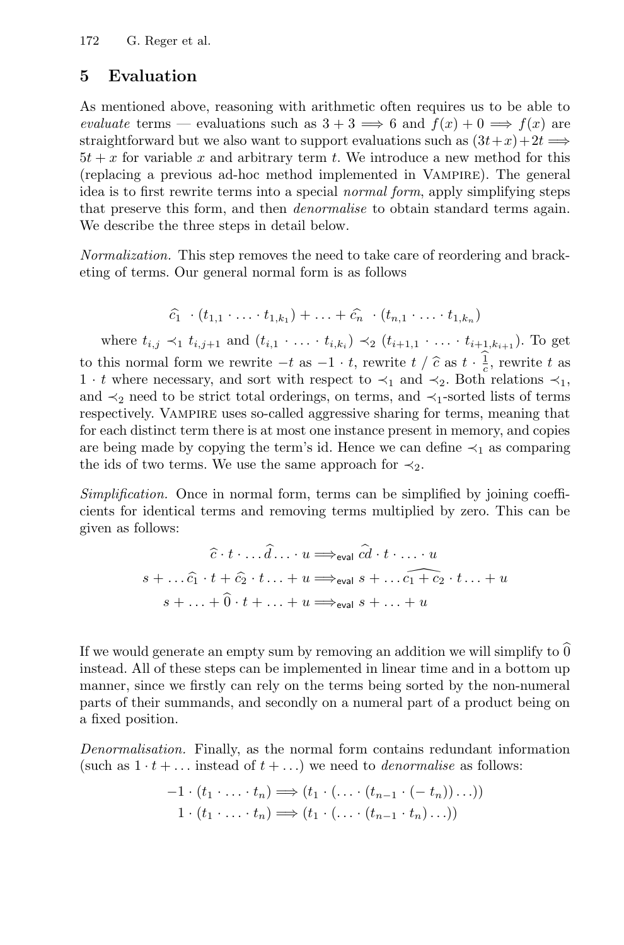#### <span id="page-8-0"></span>5 Evaluation

As mentioned above, reasoning with arithmetic often requires us to be able to evaluate terms — evaluations such as  $3 + 3 \implies 6$  and  $f(x) + 0 \implies f(x)$  are straightforward but we also want to support evaluations such as  $(3t+x)+2t \implies$  $5t + x$  for variable x and arbitrary term t. We introduce a new method for this (replacing a previous ad-hoc method implemented in Vampire). The general idea is to first rewrite terms into a special normal form, apply simplifying steps that preserve this form, and then denormalise to obtain standard terms again. We describe the three steps in detail below.

Normalization. This step removes the need to take care of reordering and bracketing of terms. Our general normal form is as follows

$$
\widehat{c}_1 \cdot (t_{1,1} \cdot \ldots \cdot t_{1,k_1}) + \ldots + \widehat{c}_n \cdot (t_{n,1} \cdot \ldots \cdot t_{1,k_n})
$$

where  $t_{i,j} \prec_1 t_{i,j+1}$  and  $(t_{i,1} \cdot \ldots \cdot t_{i,k_i}) \prec_2 (t_{i+1,1} \cdot \ldots \cdot t_{i+1,k_{i+1}})$ . To get to this normal form we rewrite  $-t$  as  $-1 \cdot t$ , rewrite  $t / \hat{c}$  as  $t \cdot \frac{1}{c}$ , rewrite t as <br>1, t where necessary and sort with respect to  $\prec$ , and  $\prec$  Both relations  $\prec$ . 1 · t where necessary, and sort with respect to  $\prec_1$  and  $\prec_2$ . Both relations  $\prec_1$ , and  $\prec_2$  need to be strict total orderings, on terms, and  $\prec_1$ -sorted lists of terms respectively. VAMPIRE uses so-called aggressive sharing for terms, meaning that for each distinct term there is at most one instance present in memory, and copies are being made by copying the term's id. Hence we can define  $\prec_1$  as comparing the ids of two terms. We use the same approach for  $\prec_2$ .

Simplification. Once in normal form, terms can be simplified by joining coefficients for identical terms and removing terms multiplied by zero. This can be given as follows:

$$
\hat{c} \cdot t \cdot \ldots \hat{d} \ldots u \Longrightarrow_{eval} \hat{c}d \cdot t \cdot \ldots \cdot u
$$
  

$$
s + \ldots \hat{c_1} \cdot t + \hat{c_2} \cdot t \ldots + u \Longrightarrow_{eval} s + \ldots \hat{c_1 + c_2} \cdot t \ldots + u
$$
  

$$
s + \ldots + \hat{0} \cdot t + \ldots + u \Longrightarrow_{eval} s + \ldots + u
$$

If we would generate an empty sum by removing an addition we will simplify to  $0$ instead. All of these steps can be implemented in linear time and in a bottom up manner, since we firstly can rely on the terms being sorted by the non-numeral parts of their summands, and secondly on a numeral part of a product being on a fixed position.

Denormalisation. Finally, as the normal form contains redundant information (such as  $1 \cdot t + \dots$  instead of  $t + \dots$ ) we need to *denormalise* as follows:

$$
-1 \cdot (t_1 \cdot \ldots \cdot t_n) \Longrightarrow (t_1 \cdot (\ldots \cdot (t_{n-1} \cdot (-t_n)) \ldots))
$$
  

$$
1 \cdot (t_1 \cdot \ldots \cdot t_n) \Longrightarrow (t_1 \cdot (\ldots \cdot (t_{n-1} \cdot t_n) \ldots))
$$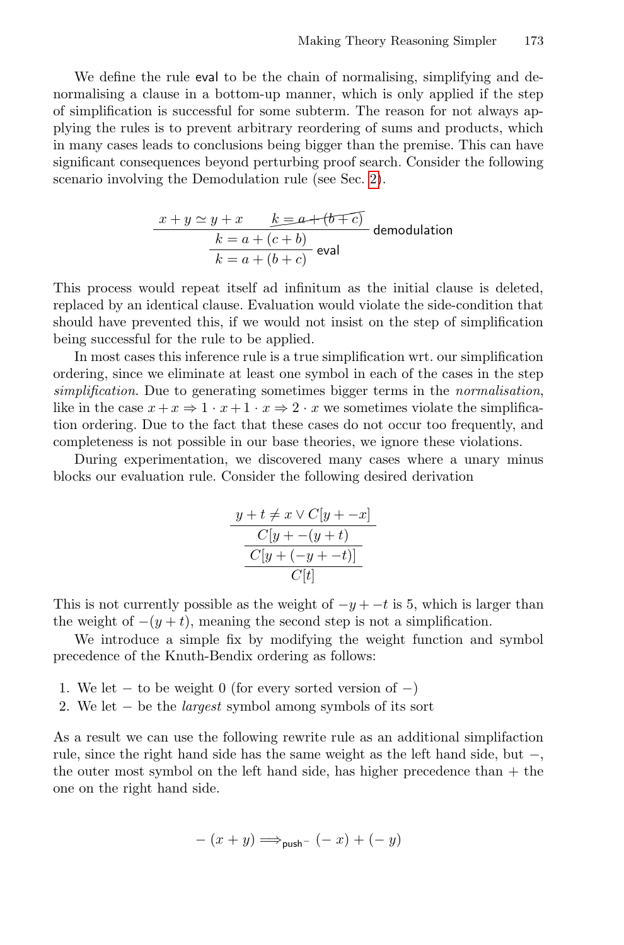We define the rule eval to be the chain of normalising, simplifying and denormalising a clause in a bottom-up manner, which is only applied if the step of simplification is successful for some subterm. The reason for not always applying the rules is to prevent arbitrary reordering of sums and products, which in many cases leads to conclusions being bigger than the premise. This can have significant consequences beyond perturbing proof search. Consider the following scenario involving the Demodulation rule (see Sec. [2\)](#page-2-0).

$$
\frac{x+y \simeq y+x \qquad k=a+(b \mp c)}{k=a+(c+b)}
$$
 demodulation  

$$
\frac{k=a+(b+c)}{k=a+(b+c)}
$$
eval

This process would repeat itself ad infinitum as the initial clause is deleted, replaced by an identical clause. Evaluation would violate the side-condition that should have prevented this, if we would not insist on the step of simplification being successful for the rule to be applied.

In most cases this inference rule is a true simplification wrt. our simplification ordering, since we eliminate at least one symbol in each of the cases in the step simplification. Due to generating sometimes bigger terms in the normalisation, like in the case  $x+x \Rightarrow 1 \cdot x+1 \cdot x \Rightarrow 2 \cdot x$  we sometimes violate the simplification ordering. Due to the fact that these cases do not occur too frequently, and completeness is not possible in our base theories, we ignore these violations.

During experimentation, we discovered many cases where a unary minus blocks our evaluation rule. Consider the following desired derivation

$$
\frac{y+t \neq x \lor C[y + -x]}{C[y+-(y+t)} \quad \frac{C[y+(-y+t)]}{C[t]}
$$

This is not currently possible as the weight of  $-y + -t$  is 5, which is larger than the weight of  $-(y + t)$ , meaning the second step is not a simplification.

We introduce a simple fix by modifying the weight function and symbol precedence of the Knuth-Bendix ordering as follows:

- 1. We let  $-$  to be weight 0 (for every sorted version of  $-$ )
- 2. We let − be the *largest* symbol among symbols of its sort

As a result we can use the following rewrite rule as an additional simplifaction rule, since the right hand side has the same weight as the left hand side, but −, the outer most symbol on the left hand side, has higher precedence than + the one on the right hand side.

$$
- (x + y) \Longrightarrow_{\mathsf{push}^-} (-x) + (-y)
$$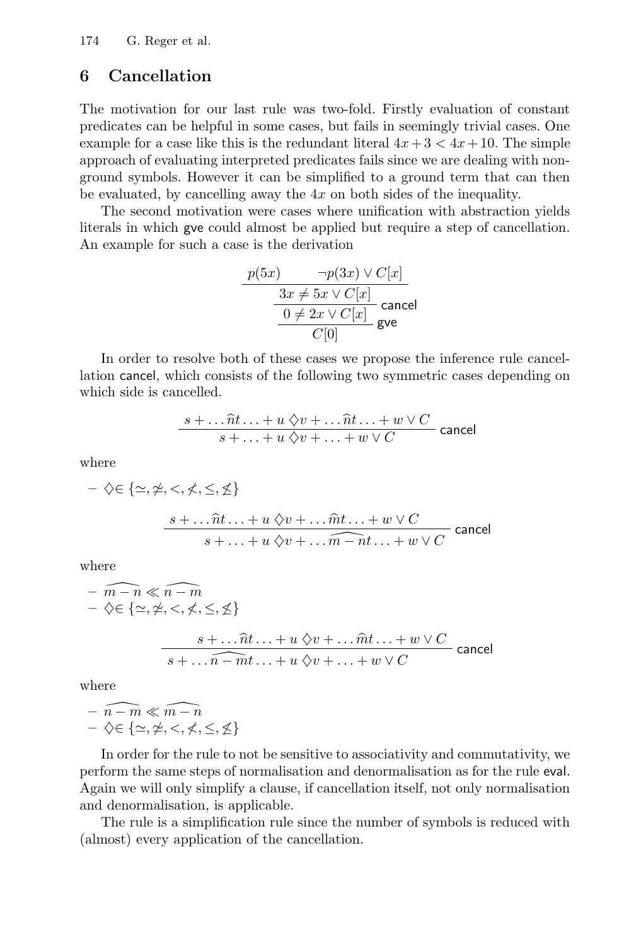### <span id="page-10-0"></span>6 Cancellation

The motivation for our last rule was two-fold. Firstly evaluation of constant predicates can be helpful in some cases, but fails in seemingly trivial cases. One example for a case like this is the redundant literal  $4x+3 < 4x+10$ . The simple approach of evaluating interpreted predicates fails since we are dealing with nonground symbols. However it can be simplified to a ground term that can then be evaluated, by cancelling away the  $4x$  on both sides of the inequality.

The second motivation were cases where unification with abstraction yields literals in which gve could almost be applied but require a step of cancellation. An example for such a case is the derivation

$$
\frac{p(5x) \qquad \neg p(3x) \lor C[x]}{3x \neq 5x \lor C[x]} \qquad \qquad \frac{3x \neq 5x \lor C[x]}{0 \neq 2x \lor C[x]} \qquad \qquad \text{cancel} \quad \boxed{C[0]}
$$

In order to resolve both of these cases we propose the inference rule cancellation cancel, which consists of the following two symmetric cases depending on which side is cancelled.

$$
\frac{s+\dots \widehat{n}t \dots + u \diamondsuit v + \dots \widehat{n}t \dots + w \vee C}{s+\dots+u \diamondsuit v + \dots + w \vee C}
$$
 cancel

where

$$
-\diamondsuit \in \{\simeq, \simeq, \leq, \leq, \leq\}
$$
  

$$
\underbrace{s + \dots \widehat{n}t \dots + u \diamondsuit v + \dots \widehat{m}t \dots + w \vee C}_{s + \dots + u \diamondsuit v + \dots \widehat{m} - n t \dots + w \vee C}
$$
 cancel

where

$$
- \widehat{m-n} \ll \widehat{n-m}
$$
  
-  $\diamondsuit \in \{ \simeq, \simeq, \leq, \leq, \leq, \leq \}$   

$$
\frac{s + \dots \widehat{n}t \dots + u \diamondsuit v + \dots \widehat{m}t \dots + w \vee C}{s + \dots \widehat{n} - m t \dots + u \diamondsuit v + \dots + w \vee C}
$$
 cancel

where

$$
- \widehat{n-m} \ll \widehat{m-n}
$$
  
-  $\diamondsuit \in \{\simeq, \neq, \leq, \neq, \leq, \leq\}$ 

In order for the rule to not be sensitive to associativity and commutativity, we perform the same steps of normalisation and denormalisation as for the rule eval. Again we will only simplify a clause, if cancellation itself, not only normalisation and denormalisation, is applicable.

The rule is a simplification rule since the number of symbols is reduced with (almost) every application of the cancellation.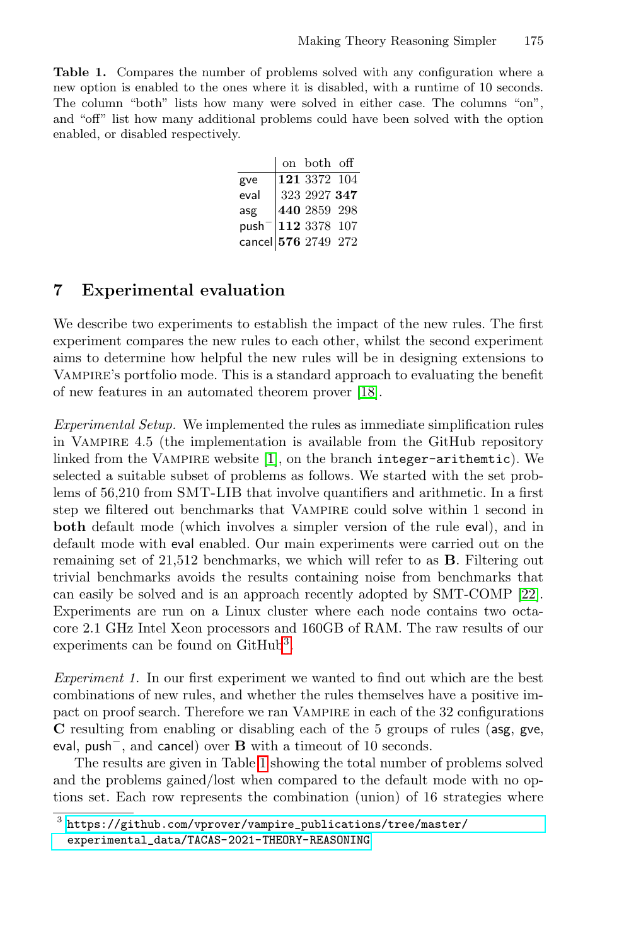<span id="page-11-2"></span>Table 1. Compares the number of problems solved with any configuration where a new option is enabled to the ones where it is disabled, with a runtime of 10 seconds. The column "both" lists how many were solved in either case. The columns "on", and "off" list how many additional problems could have been solved with the option enabled, or disabled respectively.

|                                                       | on both off                             |  |
|-------------------------------------------------------|-----------------------------------------|--|
| gve                                                   | $\frac{121\ 3372\ 104}{323\ 2927\ 347}$ |  |
| eval                                                  |                                         |  |
| asg                                                   | 440 2859 298                            |  |
| push <sup>-</sup> 112 3378 107<br>cancel 576 2749 272 |                                         |  |
|                                                       |                                         |  |

#### <span id="page-11-0"></span>7 Experimental evaluation

We describe two experiments to establish the impact of the new rules. The first experiment compares the new rules to each other, whilst the second experiment aims to determine how helpful the new rules will be in designing extensions to Vampire's portfolio mode. This is a standard approach to evaluating the benefit of new features in an automated theorem prover [\[18\]](#page-15-11).

Experimental Setup. We implemented the rules as immediate simplification rules in Vampire 4.5 (the implementation is available from the GitHub repository linked from the Vampire website [\[1\]](#page-14-5), on the branch integer-arithemtic). We selected a suitable subset of problems as follows. We started with the set problems of 56,210 from SMT-LIB that involve quantifiers and arithmetic. In a first step we filtered out benchmarks that Vampire could solve within 1 second in both default mode (which involves a simpler version of the rule eval), and in default mode with eval enabled. Our main experiments were carried out on the remaining set of 21,512 benchmarks, we which will refer to as B. Filtering out trivial benchmarks avoids the results containing noise from benchmarks that can easily be solved and is an approach recently adopted by SMT-COMP [\[22\]](#page-15-12). Experiments are run on a Linux cluster where each node contains two octacore 2.1 GHz Intel Xeon processors and 160GB of RAM. The raw results of our experiments can be found on GitHub<sup>[3](#page-11-1)</sup>.

Experiment 1. In our first experiment we wanted to find out which are the best combinations of new rules, and whether the rules themselves have a positive impact on proof search. Therefore we ran Vampire in each of the 32 configurations C resulting from enabling or disabling each of the 5 groups of rules (asg, gve, eval, push<sup>−</sup>, and cancel) over B with a timeout of 10 seconds.

The results are given in Table [1](#page-11-2) showing the total number of problems solved and the problems gained/lost when compared to the default mode with no options set. Each row represents the combination (union) of 16 strategies where

<span id="page-11-1"></span> $^3$  [https://github.com/vprover/vampire\\_publications/tree/master/](https://github.com/vprover/vampire_publications/tree/master/experimental_data/TACAS-2021-THEORY-REASONING) [experimental\\_data/TACAS-2021-THEORY-REASONING](https://github.com/vprover/vampire_publications/tree/master/experimental_data/TACAS-2021-THEORY-REASONING)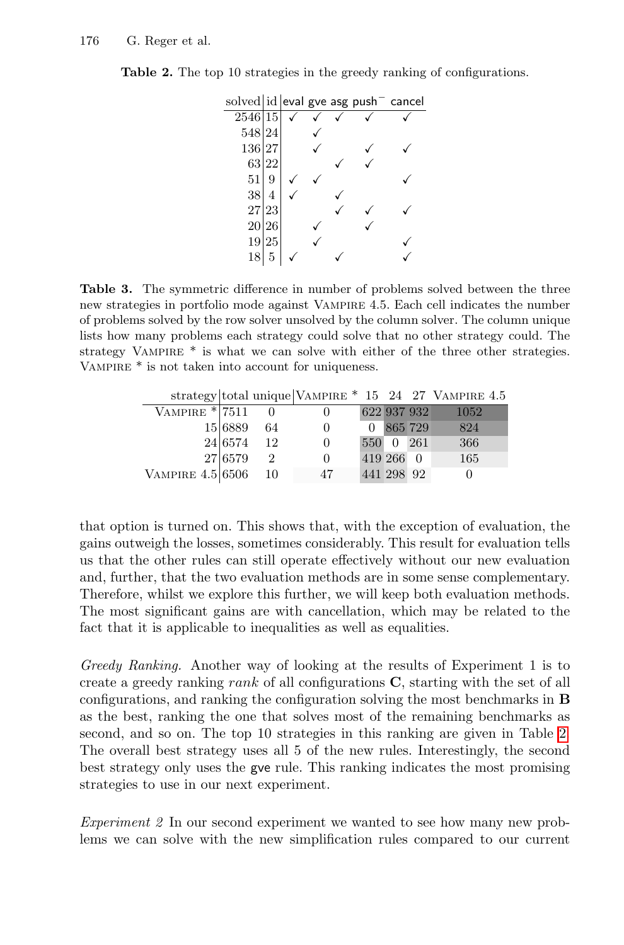| solved id eval gve asg push <sup>-</sup> cancel |    |  |  |  |
|-------------------------------------------------|----|--|--|--|
| 2546 15                                         |    |  |  |  |
| 548 24                                          |    |  |  |  |
| 136 27                                          |    |  |  |  |
| 63 22                                           |    |  |  |  |
| 51                                              | 9  |  |  |  |
| 38                                              | 4  |  |  |  |
| 27                                              | 23 |  |  |  |
| 20 26                                           |    |  |  |  |
| 19                                              | 25 |  |  |  |
|                                                 |    |  |  |  |
|                                                 |    |  |  |  |

<span id="page-12-0"></span>Table 2. The top 10 strategies in the greedy ranking of configurations.

<span id="page-12-1"></span>Table 3. The symmetric difference in number of problems solved between the three new strategies in portfolio mode against Vampire 4.5. Each cell indicates the number of problems solved by the row solver unsolved by the column solver. The column unique lists how many problems each strategy could solve that no other strategy could. The strategy VAMPIRE  $*$  is what we can solve with either of the three other strategies. VAMPIRE  $*$  is not taken into account for uniqueness.

|                    |         |                |          |             |         | strategy total unique VAMPIRE $*$ 15 24 27 VAMPIRE 4.5 |
|--------------------|---------|----------------|----------|-------------|---------|--------------------------------------------------------|
| VAMPIRE $*$ 7511   |         |                |          | 622 937 932 |         | 1052                                                   |
|                    | 15 6889 | 64             | $\theta$ | 0           | 865 729 | 824                                                    |
|                    | 24 6574 | 12             | $\theta$ | 550 0 261   |         | 366                                                    |
|                    | 27 6579 | $\mathfrak{D}$ | $\theta$ | 419 266 0   |         | 165                                                    |
| VAMPIRE $4.5 6506$ |         | -10            | 47       | 441 298 92  |         |                                                        |

that option is turned on. This shows that, with the exception of evaluation, the gains outweigh the losses, sometimes considerably. This result for evaluation tells us that the other rules can still operate effectively without our new evaluation and, further, that the two evaluation methods are in some sense complementary. Therefore, whilst we explore this further, we will keep both evaluation methods. The most significant gains are with cancellation, which may be related to the fact that it is applicable to inequalities as well as equalities.

Greedy Ranking. Another way of looking at the results of Experiment 1 is to create a greedy ranking rank of all configurations  $C$ , starting with the set of all configurations, and ranking the configuration solving the most benchmarks in B as the best, ranking the one that solves most of the remaining benchmarks as second, and so on. The top 10 strategies in this ranking are given in Table [2.](#page-12-0) The overall best strategy uses all 5 of the new rules. Interestingly, the second best strategy only uses the gve rule. This ranking indicates the most promising strategies to use in our next experiment.

Experiment 2 In our second experiment we wanted to see how many new problems we can solve with the new simplification rules compared to our current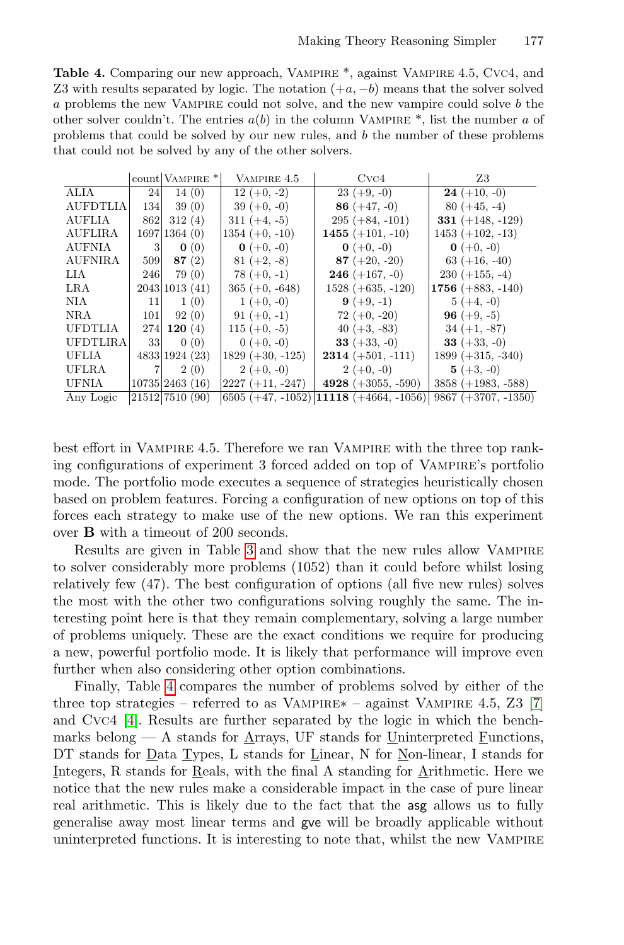<span id="page-13-0"></span>Table 4. Comparing our new approach, Vampire \*, against Vampire 4.5, Cvc4, and Z3 with results separated by logic. The notation  $(+a, -b)$  means that the solver solved a problems the new Vampire could not solve, and the new vampire could solve b the other solver couldn't. The entries  $a(b)$  in the column VAMPIRE  $^*$ , list the number a of problems that could be solved by our new rules, and b the number of these problems that could not be solved by any of the other solvers.

|                 |     | count VAMPIRE <sup>*</sup> | VAMPIRE 4.5         | Cvc4                                        | Z3                         |  |
|-----------------|-----|----------------------------|---------------------|---------------------------------------------|----------------------------|--|
| ALIA            | 24  | 14(0)                      | $12 (+0, -2)$       | $23 (+9, -0)$                               | $24 (+10, -0)$             |  |
| <b>AUFDTLIA</b> | 134 | 39(0)                      | $39 (+0, -0)$       | 86 $(+47,-0)$                               | $80 (+45, -4)$             |  |
| <b>AUFLIA</b>   | 862 | 312(4)                     | $311 (+4, -5)$      | $295 (+84, -101)$                           | 331 $(+148, -129)$         |  |
| <b>AUFLIRA</b>  |     | 1697 1364(0)               | $1354 (+0, -10)$    | 1455 $(+101, -10)$                          | $1453 (+102, -13)$         |  |
| <b>AUFNIA</b>   | 3   | $\mathbf{0}$ (0)           | $0 (+0, -0)$        | $0 (+0, -0)$                                | $\mathbf{0} (+0, -0)$      |  |
| <b>AUFNIRA</b>  | 509 | 87(2)                      | $81 (+2, -8)$       | $87 (+20, -20)$                             | $63 (+16, -40)$            |  |
| LIA             | 246 | 79(0)                      | $78 (+0, -1)$       | <b>246</b> (+167, -0)                       | $230 (+155, -4)$           |  |
| LRA             |     | 2043 1013 (41)             | $365 (+0, -648)$    | $1528 (+635, -120)$                         | 1756 $(+883, -140)$        |  |
| <b>NIA</b>      | 11  | 1(0)                       | $1 (+0, -0)$        | $9 (+9, -1)$                                | $5 (+4, -0)$               |  |
| <b>NRA</b>      | 101 | 92(0)                      | $91 (+0, -1)$       | $72 (+0, -20)$                              | <b>96</b> $(+9, -5)$       |  |
| <b>UFDTLIA</b>  | 274 | 120(4)                     | 115 $(+0, -5)$      | 40 $(+3, -83)$                              | $34 (+1, -87)$             |  |
| <b>UFDTLIRA</b> | 33  | 0(0)                       | $0 (+0, -0)$        | <b>33</b> ( $+33, -0$ )                     | <b>33</b> ( $+33$ , $-0$ ) |  |
| UFLIA           |     | 4833 1924 (23)             | $1829 (+30, -125)$  | <b>2314</b> $(+501, -111)$                  | $1899 (+315, -340)$        |  |
| <b>UFLRA</b>    |     | 2(0)                       | $2 (+0, -0)$        | $2 (+0, -0)$                                | $5 (+3, -0)$               |  |
| UFNIA           |     | 10735 2463(16)             | $ 2227 (+11, -247)$ | 4928 $(+3055, -590)$                        | $3858 (+1983, -588)$       |  |
| Any Logic       |     | 21512 7510 (90)            |                     | $(6505 (+47, -1052)   11118 (+4664, -1056)$ | $9867 (+3707, -1350)$      |  |

best effort in Vampire 4.5. Therefore we ran Vampire with the three top ranking configurations of experiment 3 forced added on top of Vampire's portfolio mode. The portfolio mode executes a sequence of strategies heuristically chosen based on problem features. Forcing a configuration of new options on top of this forces each strategy to make use of the new options. We ran this experiment over B with a timeout of 200 seconds.

Results are given in Table [3](#page-12-1) and show that the new rules allow Vampire to solver considerably more problems (1052) than it could before whilst losing relatively few (47). The best configuration of options (all five new rules) solves the most with the other two configurations solving roughly the same. The interesting point here is that they remain complementary, solving a large number of problems uniquely. These are the exact conditions we require for producing a new, powerful portfolio mode. It is likely that performance will improve even further when also considering other option combinations.

Finally, Table [4](#page-13-0) compares the number of problems solved by either of the three top strategies – referred to as Vampire∗ – against Vampire 4.5, Z3 [\[7\]](#page-14-7) and Cvc4 [\[4\]](#page-14-8). Results are further separated by the logic in which the benchmarks belong  $- A$  stands for Arrays, UF stands for Uninterpreted Functions, DT stands for <u>Data Types</u>, L stands for <u>Linear</u>, N for <u>Non-linear</u>, I stands for Integers, R stands for Reals, with the final A standing for Arithmetic. Here we notice that the new rules make a considerable impact in the case of pure linear real arithmetic. This is likely due to the fact that the asg allows us to fully generalise away most linear terms and gve will be broadly applicable without uninterpreted functions. It is interesting to note that, whilst the new Vampire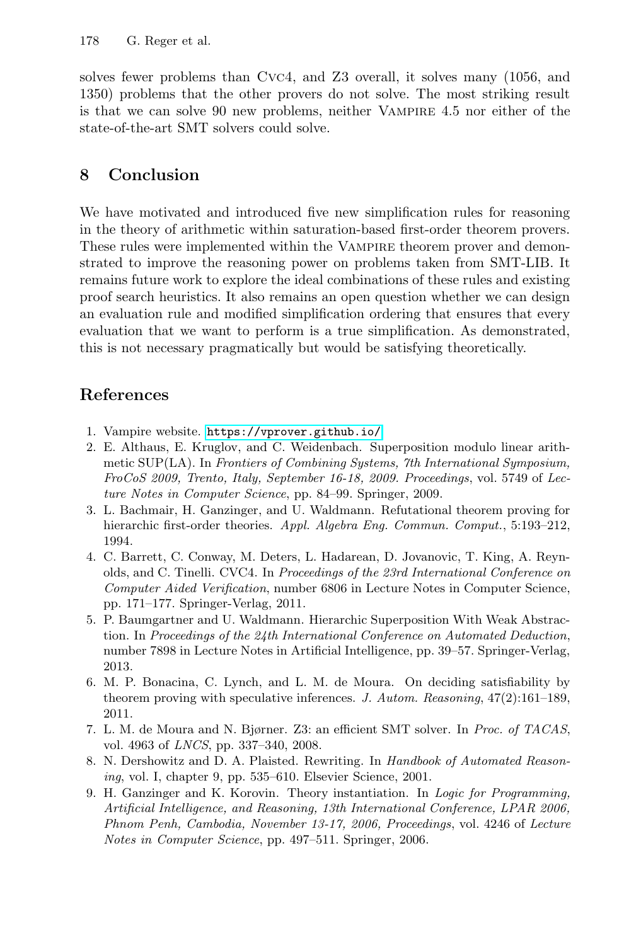solves fewer problems than Cvc4, and Z3 overall, it solves many (1056, and 1350) problems that the other provers do not solve. The most striking result is that we can solve 90 new problems, neither Vampire 4.5 nor either of the state-of-the-art SMT solvers could solve.

# 8 Conclusion

We have motivated and introduced five new simplification rules for reasoning in the theory of arithmetic within saturation-based first-order theorem provers. These rules were implemented within the VAMPIRE theorem prover and demonstrated to improve the reasoning power on problems taken from SMT-LIB. It remains future work to explore the ideal combinations of these rules and existing proof search heuristics. It also remains an open question whether we can design an evaluation rule and modified simplification ordering that ensures that every evaluation that we want to perform is a true simplification. As demonstrated, this is not necessary pragmatically but would be satisfying theoretically.

## References

- <span id="page-14-5"></span>1. Vampire website. <https://vprover.github.io/>.
- <span id="page-14-0"></span>2. E. Althaus, E. Kruglov, and C. Weidenbach. Superposition modulo linear arithmetic SUP(LA). In Frontiers of Combining Systems, 7th International Symposium, FroCoS 2009, Trento, Italy, September 16-18, 2009. Proceedings, vol. 5749 of Lecture Notes in Computer Science, pp. 84–99. Springer, 2009.
- <span id="page-14-1"></span>3. L. Bachmair, H. Ganzinger, and U. Waldmann. Refutational theorem proving for hierarchic first-order theories. Appl. Algebra Eng. Commun. Comput., 5:193-212, 1994.
- <span id="page-14-8"></span>4. C. Barrett, C. Conway, M. Deters, L. Hadarean, D. Jovanovic, T. King, A. Reynolds, and C. Tinelli. CVC4. In Proceedings of the 23rd International Conference on Computer Aided Verification, number 6806 in Lecture Notes in Computer Science, pp. 171–177. Springer-Verlag, 2011.
- <span id="page-14-2"></span>5. P. Baumgartner and U. Waldmann. Hierarchic Superposition With Weak Abstraction. In Proceedings of the 24th International Conference on Automated Deduction, number 7898 in Lecture Notes in Artificial Intelligence, pp. 39–57. Springer-Verlag, 2013.
- <span id="page-14-3"></span>6. M. P. Bonacina, C. Lynch, and L. M. de Moura. On deciding satisfiability by theorem proving with speculative inferences. J. Autom. Reasoning, 47(2):161–189, 2011.
- <span id="page-14-7"></span>7. L. M. de Moura and N. Bjørner. Z3: an efficient SMT solver. In Proc. of TACAS, vol. 4963 of LNCS, pp. 337–340, 2008.
- <span id="page-14-6"></span>8. N. Dershowitz and D. A. Plaisted. Rewriting. In Handbook of Automated Reasoning, vol. I, chapter 9, pp. 535–610. Elsevier Science, 2001.
- <span id="page-14-4"></span>9. H. Ganzinger and K. Korovin. Theory instantiation. In Logic for Programming, Artificial Intelligence, and Reasoning, 13th International Conference, LPAR 2006, Phnom Penh, Cambodia, November 13-17, 2006, Proceedings, vol. 4246 of Lecture Notes in Computer Science, pp. 497–511. Springer, 2006.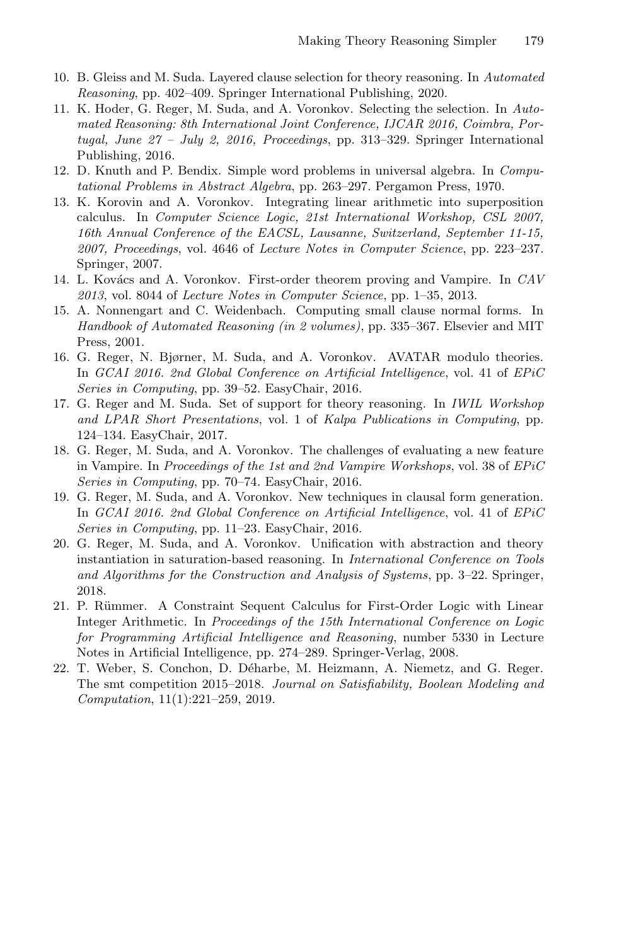- <span id="page-15-3"></span>10. B. Gleiss and M. Suda. Layered clause selection for theory reasoning. In Automated Reasoning, pp. 402–409. Springer International Publishing, 2020.
- <span id="page-15-10"></span>11. K. Hoder, G. Reger, M. Suda, and A. Voronkov. Selecting the selection. In Automated Reasoning: 8th International Joint Conference, IJCAR 2016, Coimbra, Portugal, June  $27 - July 2$ ,  $2016$ , Proceedings, pp. 313–329. Springer International Publishing, 2016.
- <span id="page-15-9"></span>12. D. Knuth and P. Bendix. Simple word problems in universal algebra. In Computational Problems in Abstract Algebra, pp. 263–297. Pergamon Press, 1970.
- <span id="page-15-0"></span>13. K. Korovin and A. Voronkov. Integrating linear arithmetic into superposition calculus. In Computer Science Logic, 21st International Workshop, CSL 2007, 16th Annual Conference of the EACSL, Lausanne, Switzerland, September 11-15, 2007, Proceedings, vol. 4646 of Lecture Notes in Computer Science, pp. 223–237. Springer, 2007.
- <span id="page-15-6"></span>14. L. Kovács and A. Voronkov. First-order theorem proving and Vampire. In CAV  $2013$ , vol. 8044 of *Lecture Notes in Computer Science*, pp. 1–35, 2013.
- <span id="page-15-7"></span>15. A. Nonnengart and C. Weidenbach. Computing small clause normal forms. In Handbook of Automated Reasoning (in 2 volumes), pp. 335–367. Elsevier and MIT Press, 2001.
- <span id="page-15-1"></span>16. G. Reger, N. Bjørner, M. Suda, and A. Voronkov. AVATAR modulo theories. In GCAI 2016. 2nd Global Conference on Artificial Intelligence, vol. 41 of EPiC Series in Computing, pp. 39–52. EasyChair, 2016.
- <span id="page-15-4"></span>17. G. Reger and M. Suda. Set of support for theory reasoning. In IWIL Workshop and LPAR Short Presentations, vol. 1 of Kalpa Publications in Computing, pp. 124–134. EasyChair, 2017.
- <span id="page-15-11"></span>18. G. Reger, M. Suda, and A. Voronkov. The challenges of evaluating a new feature in Vampire. In Proceedings of the 1st and 2nd Vampire Workshops, vol. 38 of EPiC Series in Computing, pp. 70–74. EasyChair, 2016.
- <span id="page-15-8"></span>19. G. Reger, M. Suda, and A. Voronkov. New techniques in clausal form generation. In GCAI 2016. 2nd Global Conference on Artificial Intelligence, vol. 41 of EPiC Series in Computing, pp. 11–23. EasyChair, 2016.
- <span id="page-15-5"></span>20. G. Reger, M. Suda, and A. Voronkov. Unification with abstraction and theory instantiation in saturation-based reasoning. In International Conference on Tools and Algorithms for the Construction and Analysis of Systems, pp. 3–22. Springer, 2018.
- <span id="page-15-2"></span>21. P. Rümmer. A Constraint Sequent Calculus for First-Order Logic with Linear Integer Arithmetic. In Proceedings of the 15th International Conference on Logic for Programming Artificial Intelligence and Reasoning, number 5330 in Lecture Notes in Artificial Intelligence, pp. 274–289. Springer-Verlag, 2008.
- <span id="page-15-12"></span>22. T. Weber, S. Conchon, D. D´eharbe, M. Heizmann, A. Niemetz, and G. Reger. The smt competition 2015–2018. Journal on Satisfiability, Boolean Modeling and Computation, 11(1):221–259, 2019.